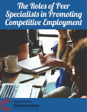# The Roles of Peer<br>Specialists in Promoting<br>Competitive Employment





Temple University Collaborative

On Community Inclusion of Individuals with Psychiatric Disabilities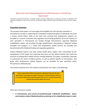# **REGULATORY AND FUNDING PARAMETERS FOR PEER SPECIALISTS IN SUPPORTING**

### **EMPLOYMENT**

*Prepared by Carol Ward-Colasante, Consultant, Temple University Collaborative on Community Inclusion of Individuals with Psychiatric Disabilities, under contract with the Pennsylvania Office of Mental Health and Substance Abuse Services, August, 2012*

# **Executive Summary**

The purpose of this paper is to encourage and strengthen the role that peer specialists in Pennsylvania can play in supporting the competitive employment goals of individuals who have a serious mental illness, while at the same time ensuring that employment supports are provided in a manner consistent with regulatory and funding guidelines. Since the majority of peer specialists in Pennsylvania are funded through Pennsylvania's approved Medicaid rehabilitation option and provided through HealthChoices, Pennsylvania's Medicaid funded managed care program, it is critical that employment related services are provided and documented within Medicaid funding and regulatory guidelines.

Federal Medicaid experts and state mental health policy leaders were interviewed for the development of this paper and confirmed that there are few federal policies that clarify the provision of employment related services through Medicaid. This paper, nonetheless, attempts to summarize the *intent* of federal policies, as well as policies specific to Pennsylvania that guide what employment related supports can be provided by peer specialists within Pennsylvania's Medicaid plan.

The overall conclusion from the research conducted for this report is the following:

**There is opportunity within Pennsylvania's Medicaid state plan for peer specialists to encourage and support consumers' vocational goals, if done so in a way that addresses functional impairments due to a mental illness and is properly documented within the record.**

Other key conclusions include:

 *In Pennsylvania, peer services are funded through a Medicaid rehabilitation option and therefore, federal Medicaid policies pertaining to the rehabilitation option is what*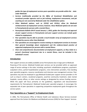*guides the type of employment services peers specialists can provide within the state under Medicaid.*

- *Services traditionally provided by the Office of Vocational Rehabilitation and vocational provider agencies such as job training, employment assessments, and job coaching are not covered by Medicaid under the rehabilitation option.*
- *Other Medicaid options, such as 1915(i) and 1915(c), allow for Medicaid reimbursement of employment services; however, these Medicaid options do not exist in Pennsylvania for persons with a mental illness*
- *Pennsylvania Bulletin 09-07 issued January 1, 2010, guides the licensing and approval of peer support services in Pennsylvania and peer support services can include goals related to employment.*
- *Peer specialists may be able to provide a much broader array of employment services if funded by sources other than Medicaid.*
- *Peer specialists are encouraged to receive training on employment services to increase their general knowledge about employment and the evidence-based practice of supported employment for persons with a mental illness.*
- *Clear and comprehensive documentation of employment supports, as they relate to a person's functional impairment due to a mental illness, must be included in the individual's record.*

# **Introduction**

Peer support services are widely available across Pennsylvania due in large part to Medicaid financing of the service. Medicaid funded peer services can be provided within an approved range of service settings in the state, including: psychiatric rehabilitation programs, psychiatric outpatient clinics, partial hospitalization programs, crisis intervention providers, free-standing peer specialist programs, resource coordination and intensive case management services. Peer specialists may also be employed in non-Medicaid funded peer support service providers in PA such as drop-in centers, vocational programs, assertive community treatment, state mental hospitals, county offices, or other service settings as designated by various funding sources. While this paper will focus primarily on the guidelines, regulations and documentation requirements for Pennsylvania's Medicaid funded peer specialist program, it encourages the expanded role of peer specialists in supporting competitive employment goals throughout the service system.

# **Peer Specialists as a "Support" to Employment Goals**

In 2006, The Pennsylvania Office of Mental Health and Substance Abuse Services received approval from the Centers for Medicare and Medicaid services (CMS) for Peer Support Services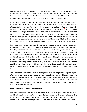through an approved rehabilitation option plan. Peer support services are defined in Pennsylvania as "specialized therapeutic interactions conducted by self-identified current or former consumers of behavioral health services who are trained and certified to offer support and assistance in helping others in their recovery and community integration process."  $1$ 

Pennsylvania has also promoted increased attention to the competitive employment goals of people with mental illnesses, and in particular the development of the evidence-based practice of supported employment for persons with psychiatric disabilities. This commitment is reflected in the state employment plan: "Employment : a Key to recovery".<sup>2</sup>The principles of the evidence-based practice of supported employment as outlined by the Substance Abuse and Mental Health Services Administration<sup>3</sup> include: 1) Eligibility is based on consumer choice; 2) Supported employment is integrated with treatment; 3) Competitive employment is the goal; 4) Job search starts soon after a consumer expresses interest in working; 5) Follow-along supports are continuous; 6) Consumer preferences are important; and 7) SE provides benefit counseling.

Peer specialists are encouraged to receive training on the evidence-based practice of supported employment for persons with psychiatric disabilities so that these principles guide the support that they provide to the persons they work with; however, it is recognized that many peer specialists will not be working in or directly as a part of a supported employment program. All peer specialists are encouraged to address employment issues with those they serve keeping in mind two important principles: first, each peer specialist should stay true to their role as a peer and utilize their lived experiences to support others in their employment journey; and second, rather than becoming vocational specialists (unless that is a career goal that peers want to consider), peers should become sufficiently familiar with available vocational resources in order to broker, rather than duplicate, specialized employment services from which persons can benefit.

There is sufficient research to indicate that competitive employment goals are a significant part of the hopes and desires of many peers, and peer specialists can and should play a central role in supporting these aspirations. More information about the defined role of peer specialists within Pennsylvania standards are outlined under "Peer Roles In and Outside of Medicaid" listed below. Training opportunities are outlined in the below section entitled "Training for Peer Specialists on Employment".

# **Peer Roles In and Outside of Medicaid**

Peer support services were added to the Pennsylvania Medicaid plan under an approved rehabilitation option in 2006. With the approval of peer support services as a Medicaid service, Pennsylvania decided to add this service to the list of required services offered under the HealthChoices Behavioral Health program. With the addition of certified peer support services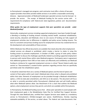to Pennsylvania's managed care program, each contractor must offer a choice of two peer support providers that either provide mobile services or are within a reasonable commuting distance. Approved providers of Medicaid funded peer specialist services must be licensed to provide the service. The receipt of Medicaid funding for the service carries with it requirements for compliance with federal and state regulations, policies and documentation requirements.

# *What guides the type of employment supports that peer specialists can provide under Medicaid funding?*

Historically, employment services including supported employment, have been funded through a blending or braiding of funding streams including mental health, vocational rehabilitation, social security, education and Medicaid, since no one source of funding can fully support all employment activities due to differences in eligibility and policy across funding streams. The lack of a consistent and primary funding source for employment services has created barriers to the development and sustainability of these services.

Within Medicaid, few official documents are available that clearly describe what employment related services are allowed or prohibited, which creates a barrier to states in using this funding stream to promote employment. In October of 2009, a group of state policy makers came together to discuss the challenges specifically related to providing supported employment to persons with mental illness within state Medicaid programs. Participants were in agreement that additional guidance from CMS on how states can effectively and confidently use Medicaid funding to reimburse for supported employment services is critical.<sup>4</sup> Recent federal audits (see section on "Documentation") created further questions regarding services that are specifically permitted under the rehabilitation option.

It should be noted that there are a variety of Medicaid options and the kind of option and content of that option within each state's Medicaid plan drives what is allowed and prohibited within that state. Elements of employment can be provided through a Medicaid rehabilitation option, a 1915 (i) state plan amendment, and 1915 (c) or (b) waivers. This document will focus on what is currently permitted within Pennsylvania's Medicaid plan and will briefly address what other Medicaid options allow. See Attachment A for a chart that outlines the Medicaid options, what employment services they permit, and which are available within Pennsylvania.

In Pennsylvania, the Medicaid funding source that allows peer specialists to assist people with their employment goals is the Rehabilitation State Plan for Certified Peer Support Services. Through this state Medicaid plan, certified Peer Support Services were added as a mandatory service to Pennsylvania's 1915(b)-managed care waiver, HealthChoices, thereby requiring statewide availability of the service, as noted above. The federal and state documents that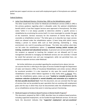guide how peer support services can assist with employment goals in Pennsylvania are outlined below:

### *Federal Guidance:*

**•** Letter from Medicaid Director, Christine Nye, 1992 on the Rehabilitation option<sup>5</sup> This letter issued from the Center for Medicaid and Medicare services (CMS) in 1992 is the primary guidance regarding what is allowable under the optional rehabilitation benefit (which is how Peer Support Services were approved in Pennsylvania). The letter states "while it is not always possible to determine whether a specific service is rehabilitative by scrutinizing the service itself, it is more meaningful to consider the goal of the treatment. Services necessary for the treatment of mental illness may be coverable as rehabilitative services." The letter goes on to describe two major services which are allowed under the rehabilitation option: 1) basic living skills (which means helping a person to restore skills such as food planning, maintaining a living environment, etc.) and 2) counseling and therapy. The letter also outlines what does not fall under the rehabilitation option: 1*) vocational training (which includes job training, vocational and educational services),* 2) personal care services (performed for the recipient as opposed to teaching the recipient are not allowed) and 3) case management (directed to managing non-Medicaid services are not covered). It should be noted that personal care and case management, while not permitted here, are covered as separate services under Medicaid.

No further definitions are provided regarding the vocational terms above, but one can assume that this is referring to the types of services funded through the Department of Labor and Industry's Office of Vocational Rehabilitation and similar services offered by vocational providers. It is also important to rely upon the overall definition of rehabilitation services within federal regulation to help clarify what *is allowed*. Thus, under the rehabilitation option, states can cover *"medical or remedial services for the maximum reduction of physical or mental disability and restoration of a recipient to the best possible functional level.* From this document, one can conclude that the type of services that can be provided by peer specialists that are assisting with employment goals and the way in which they must be documented under the rehabilitation option, are as rehabilitative services that assist in restoring a person'sfunctioning.

# • Medicaid Support of Evidence-Based Practices In Mental Health Programs $\frac{6}{5}$

This document, prepared by CMS in 2005, describes how six evidence-based practices, including supported employment, can be funded through Medicaid services. On the one hand, the document indicates that *"supported employment and pre-vocational*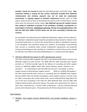*training" cannot be covered* through the state Medicaid plan, and further states *that vocational training is among the few services statutorily excluded from Medicaid reimbursement and similarly, payment may not be made for employment*  **assessments, or ongoing support to maintain employment (except under an HCBS** waiver, which we do not have in Pennsylvania for persons with a mental illness). On the other hand, the document further states, *that Medicaid can pay for medical services that enable an individual to function in the workplace, including a psychiatrist's or psychologist's treatment, rehabilitation planning, therapy and counseling (please note that the CMS letter SMDL # 07-011 below uses the term counseling to describe peer services).*

As concluded in the above document, Medicaid-funded peer support services related to an individual's employment goals should be provided and documented in relation to the functional impairment as a result of the mental illness to allow an individual to function in the workplace. Peer specialists should not, however, be providing or documenting their services as vocational which include employment assessments, pre-vocational training, job development, job coaching, etc. Individuals in need of those services should be referred to the Office of Vocational Rehabilitation or a vocational provider agency.

### • CMS letter SMDL #07-011 August 15, 2007 regarding peer services<sup> $7$ </sup>

This letter issued by CMS recognizes the shift in the mental health field to recovery and Medicaid support for peer services. The SMDL #07-011 letter describes peer support providers as "a distinct provider type for the delivery of counseling and other support services to Medicaid eligible adults with mental illnesses and/or substance use disorders". It is interesting to note that CMS uses the term "counseling" as well as support services to describe peer support services. While it is unlikely that people in the field would describe peer services as counseling (and the OMHSAS Peer Support Services bulletin does *not* include counseling as a peer support service), it may be a way for CMS to encompass this service within their current medical/clinical lingo (Note the use of the term counseling in the both the 1992 Medicaid letter and the 2005 CMS evidence-based practice documents above). This policy sets requirements for states to have peers supervised by a mental health professional, a person-centered planning process and training for peers. Pennsylvania has all of these requirements in place.

# *State Guidance:*

 OMHSAS Peer Support Services Bulletin-09-07, and provider handbook, January 1,  $2010^{\frac{1}{2}}$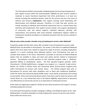This Pennsylvania bulletin and provider handbook guides the licensing and approval of peer support services within the Commonwealth. Eligibility for peer services includes a moderate to severe functional impairment that limits performance in at least one domain including the vocational domain. Goals for the services may be in the areas of wellness and recovery, *employment*, crisis support, housing, social networking, selfdetermination and individual advocacy. Therefore, it is clear that peer services can include assisting an individual with functional impairments due to a mental illness that interferes with employment. Peer support services include: crisis support, development of community roles and natural supports, individual advocacy, self-help, selfimprovement, and assistance with social networks. Employment supports related to employment should be provided to an individual consistent with the services outlined in this bulletin.

### *Why do some states provide a broader array of employment services under Medicaid?*

Frequently, people ask why other states offer a broader array of employment services under Medicaid than are permitted in Pennsylvania. The answer is that there are additional Medicaid options that some states have utilized to expand the range of services, including employment supports. It is worth reviewing these Medicaid options, since Pennsylvania may want to consider these options in the future. Attachment A provides an overview of federal Medicaid options that are available to states and what each option permits related to employment services. Pennsylvania currently operates its Peer Specialist program under a Medicaidapproved 1905(a) 13 rehabilitation option. The Peer specialist program operates within Pennsylvania's 1915(b) HealthChoices managed care program as a required in-plan service. Neither the 1915(i) or 1915(c) Home and Community Based Services waiver programs exist within Pennsylvania for persons with mental illness. The 1915(c) program does exist in Pennsylvania for persons with other disabilities such as those with intellectual disabilities. Under the Home and Community Based (HCBS) waiver, work specific assessments and training are permitted. Home and Community Based waivers have been used by states for persons with mental illness on a very limited basis due to the federal eligibility requirements to document cost effectiveness of community services as an alternative to institutional services.

Some states are beginning to apply for 1915(i) services which do permit a full range of services, including employment services.

If at some point Pennsylvania considers changing or adding a new Medicaid option to the state Medicaid plan, it would be advisable to include employment services for persons with mental illness within the service array.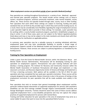### *What employment services are permitted outside of peer specialist Medicaid funding?*

Peer specialists are working throughout Pennsylvania in a variety of *non*- Medicaid approved and licensed peer specialist programs. This would include service settings such as drop-in centers, vocational programs, assertive community treatment, state mental hospitals, county offices, etc. These services are typically funded through state, county, local or other funding. Peer specialists that work within these settings are subject to licensing, funding and policy standards that are set forth by the provider type in which they work and the funding source. As a result, there may be considerably more flexibility regarding the range of employment services a peer specialist might be able to provide in these settings. For example, a peer specialist may be working within a county-funded vocational program, psychiatric rehabilitation program, or drop-in center. In all of these cases, peers are not subject to the federal regulations/policies listed above and may or may not be subject to the state standards and should check with their funding entities for clarification on applicable policies.

In summary, peer specialists may be a valuable resource in assisting individuals with their employment goals and may have considerable flexibility to provide a broad range of employment supports *outside* of the Medicaid funded and licensed peer support program in Pennsylvania. However, these services are subject to policies/regulations as mandated by the funding source.

# **Training for Peer Specialists on Employment**

Under a grant from the Center for Mental Health Services within the Substance Abuse and Mental Health Services Administration, Pennsylvania will be developing training for peer specialists on employment supports. Pennsylvania's two peer training institutes will each develop a training program; The Institute for Recovery and Community Inclusion within the Mental Health Association of Southeast Pennsylvania will design and implement a 2 day classroom curriculum, and Recovery Opportunity Center of Arizona will design and implement a 7-9 hour e-learning curriculum. Both options will be available in the fall of 2012 for peer specialists who have completed the two week peer specialist orientation. These courses will be uniquely designed for peer specialists. Boston University is also in the process of testing a 6 day employment curriculum for peer specialists that will be made available more widely in the future.

Peer specialists that wish to increase their general knowledge about employment and the particular evidence-based intervention of supported employment for persons with psychiatric disabilities can also find trainings available through Virginia Commonwealth University and George Washington University. Trainees should be aware that some of these courses address supported employment from a cross-disability perspective and may not capture the unique practices of supported employment for persons with mental illness.

Training and further education for peer specialists in the area of employment may serve as a career ladder for peers that want to move into this specialized field of service.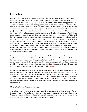# **Documentation**

All Medicaid funded services, including Medicaid funded and licensed peer support services, must be documented according to Medicaid requirements. Documentation must include all of the elements listed below (see figure 1). This includes: who the services are being provided to, what the particular service is that is being provided, when the service is provided, how long the service is provided, where it is provided, the purpose of the service (as it relates to the individual service plan), and the status (again as it relates to the person's individual service plan). If any of this information is missing, the service can be determined as not having met the requirements for Medicaid payment and therefore not eligible for reimbursement. While these documentation elements are standard for many services both in and outside of Medicaid funding, documentation for some peer support services provided outside of Medicaid funding may not be as rigorous. For example, consumer run drop-in centers may not collect such detailed information due to the peer nature of the service and lack of requirement to bill for individual units of service. If a provider/peer specialist is in doubt regarding the required documentation requirements within their program, they should consult their supervisor. Beyond the basic Medicaid documentation requirements described here and listed in *figure 1*, it is extremely important that employment-related peer supports are provided and documented according to Medicaid standards.

In the section above on "Peer Roles In and Outside of Medicaid", it was noted that certain employment services are prohibited under Pennsylvania's rehabilitation option which funds licensed peer support services. These prohibited services include such things as: employment assessments, vocational training, and job development. However, other types of services can be provided to help a person address their functional impairments due to their mental illness that interfere with seeking, obtaining and maintaining a job.  $(s_{ee figure2})$ 

In order for peer support services with a goal of employment to be Medicaid reimbursable, the service must focus on helping a person overcome or address psychiatric symptoms that interfere with seeking, obtaining and maintaining a job. Positive psychiatric symptoms include auditory or visual hallucinations, incoherence or marked loosening of associations, delusions, etc. Negative symptoms include apathy, lethargy, and ambivalence, flattening of emotions, isolation and withdrawal.<sup>8</sup> Examples of peer support employment services are provided in Attachment B.

### *Medicaid audits and documentation issues:*

A small number of states have had their rehabilitation programs audited by the Office of Inspector General. The audits show that large numbers of reviewed claims were disallowed. The major reasons for these disallowances were: inadequate documentation and billing errors and services that were found to not be rehabilitative in nature.<sup>9</sup>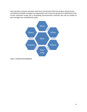Peer specialists and peer specialist supervisors should work with their program administrator and behavioral health managed care organization and county for guidance on defining the roles of peer specialists locally and in developing documentation protocols that will be needed to pass managed care and Medicaid audits.



**FIGURE 1: DOCUMENTATION REQUIREMENTS**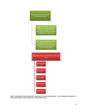Employment Services Funded Under Rehab Option

> Medical or remedial services for reduction of mental disability to restore functioning in the workplace including: treatment, rehabilitation and therapy

Peer services outlined in PA Peer Bulletin (services must be described in the record in relation to functional impairment as a result of mental illness)



**FIGURE 2: EMPLOYMENT SERVICES FUNDED/NOT FUNDED UNDER THE MEDICAID REHAB OPTION. \* SEE ATTACHMENT B FOR EXAMPLES OF SERVICES PEER SPECIALISTS CAN PROVIDE RELATED TO EMPLOYMENT GOALS.**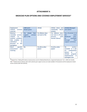# **ATTACHMENT A**

# **MEDICAID PLAN OPTIONS AND COVERED EMPLOYMENT SERVICES\***

| <b>Employment</b>                 | 1905(a)13                    | 1915(i)                 | 1915(c) Home and    | 1915(b) Managed             |
|-----------------------------------|------------------------------|-------------------------|---------------------|-----------------------------|
| <b>services</b><br>related        | <b>Rehab option</b>          |                         | based<br>community  | care waiver                 |
| covered                           |                              |                         | <b>services</b>     |                             |
| <b>Medical</b><br><b>or</b>       | (Under<br><b>Yes</b><br>Peer | <b>Yes (Waiver does</b> | Yes (Waiver does    | Yes, If service is in       |
| remedial<br><b>services</b>       | <b>services</b><br>support   | not exist in PA)        | not exist in PA for | the<br>state                |
| related<br>to<br>$\boldsymbol{a}$ | plan in PA)                  |                         | with<br>persons     | <b>Medicaid</b><br>plan.    |
| medical condition                 |                              |                         | mental illness)     | available<br>$($ ls         |
| that enables<br>an                |                              |                         |                     | through<br>Peer             |
| <i>individual</i><br>to           |                              |                         |                     | support services)           |
| <i>function</i><br>the<br>in      |                              |                         |                     |                             |
| workplace                         |                              |                         |                     |                             |
| specific<br>Work                  | <b>No</b>                    | Yes (If no other        | Yes (if no other    | <i>(unless</i><br><b>No</b> |
| and<br>assessment                 |                              | payer)                  | <i>payer</i> )      | included in a (b)           |
| training                          |                              |                         |                     | combination<br>(c)          |
|                                   |                              |                         |                     | waiver<br>or<br>$\alpha$    |
|                                   |                              |                         |                     | 1915(i)<br>program          |
|                                   |                              |                         |                     | <i>implemented</i><br>in    |
|                                   |                              |                         |                     | managed care                |

\*Adapted from "Making MH Evidence-based practices work for Medicaid Beneficiaries: Supported Employment" Oct 7, 2009, Ron Hendler, CMS.<sup>10</sup>Shaded columns indicate under which authority peer support services are made available in Pennsylvania and the employment related service covered under that authority.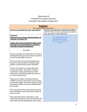# Attachment B Certified Peer Support Services: Examples that Support Employment

| <b>Explore:</b><br>Do I want to work at this time?                                                                                                                                                            |                                                                                                                               |  |
|---------------------------------------------------------------------------------------------------------------------------------------------------------------------------------------------------------------|-------------------------------------------------------------------------------------------------------------------------------|--|
| Services provided by peer specialists                                                                                                                                                                         | Services provided by vocational providers<br>(NOTE! These services cannot be provided by<br>peer specialists under Medicaid!) |  |
| <b>Purpose:</b><br>Help person to assess potential effects of<br>working on his/her life<br>Inspire and create excitement about work<br>and how to use and enhance a person's<br>strengths through employment | <b>Not applicable until</b><br>person has made a<br>decision to return to<br>work                                             |  |
| Examples:                                                                                                                                                                                                     |                                                                                                                               |  |
| Discuss strengths and what gets in the way of<br>working/returning to school in light of person's<br>current mental health recovery                                                                           |                                                                                                                               |  |
| CPS uses their own personal employment<br>journey to discuss person's feelings about<br>going to work/receiving further education                                                                             |                                                                                                                               |  |
| Shares the benefits of working (financial,<br>social connections, get off SSI, making a<br>contribution, doing something the world<br>values-the normal thing people do) and how<br>it's a life enhancement   |                                                                                                                               |  |
| Helps person explore education/training<br>needed to pursue career goals such as GED,<br>community college, technical schools and how<br>the person's illness may have interfered with<br>these goals         |                                                                                                                               |  |
| Peer specialist shares how he/she overcame<br>their ambivalence and used determination to<br>return to work.                                                                                                  |                                                                                                                               |  |
| Peer specialist shares information on the<br>effects that working can have on benefits (SSI,<br>SSD, MA) and that working part time is okay                                                                   |                                                                                                                               |  |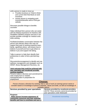| until a person is ready to move up |  |
|------------------------------------|--|

- Provides brochure on Ticket to Work and current SSA Red Book on work incentives
- Assists person in navigating work incentives/benefits area of SSA.gov website

Discusses possible linkage to benefits counselor

Helps individual find a person who can assist with the Medical Assistance for Workers with Disabilities (MAWD) program and how it can provide possible coverage for medical costs while working

Facilitates/mediates conversation between the person and relevant others who may not support their goal of working-treatment team, family, significant others- and shares how to believe in yourself and how to get others to believe in you and support risk taking.

Talks to person to help them identify their preferences in order to find a job that they love.

Discussion/encouragement to identify and use wellness management and strategies such as WRAP, illness Management Recovery, etc.

### **Joint outcome that could be achieved with peer specialist and vocational provider working together:**

Persons makes a decision and commitment to seek employment or needed training/education in preparation for

**benefits and how to contribute and earn a**

employment

# **Choose:**

Person chooses a direction for working, that is, type of work (or training) person wants to consider based on knowledge of person's interests, values and skills, as well as knowledge of available options Services provided by peer specialists | Services provided by vocational providers *(NOTE! These services cannot be provided by peer specialists under Medicaid!) Purpose:*  **Helps person increase awareness of community resources and their potential**  *Vocational counseling*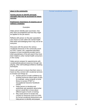| place in the community                                                                                                                                                                                                                                                                                                                                                                                                                                                                                                                                                                                                                       | <b>Formal vocational assessment</b> |
|----------------------------------------------------------------------------------------------------------------------------------------------------------------------------------------------------------------------------------------------------------------------------------------------------------------------------------------------------------------------------------------------------------------------------------------------------------------------------------------------------------------------------------------------------------------------------------------------------------------------------------------------|-------------------------------------|
| <b>Assists person to identify personal</b><br>strenaths that may be accessed for future<br><b>SUCCESS</b>                                                                                                                                                                                                                                                                                                                                                                                                                                                                                                                                    |                                     |
| <b>Emphasizes importance of ongoing use of</b><br>wellness strategies                                                                                                                                                                                                                                                                                                                                                                                                                                                                                                                                                                        |                                     |
| Examples:                                                                                                                                                                                                                                                                                                                                                                                                                                                                                                                                                                                                                                    |                                     |
| Helps person identify past successes, how<br>they were accomplished and how they might<br>be applied to the job search.                                                                                                                                                                                                                                                                                                                                                                                                                                                                                                                      |                                     |
| Reflects with person on the peer specialist's<br>own choice to work within the mental health<br>field while acknowledging that it may not be for<br>everyone.                                                                                                                                                                                                                                                                                                                                                                                                                                                                                |                                     |
| Discusses with the person the various<br>vocational resources in the community (such<br>as OVR, Career Link, supported education<br>program or local vocational provider) and in<br>what ways/phases of the job search they have<br>been helpful to other mental health consumers<br>in the county                                                                                                                                                                                                                                                                                                                                           |                                     |
| Helps person prepare for appointments with<br>vocational/educational resources through role<br>playing, other skill building/confidence building<br>techniques.                                                                                                                                                                                                                                                                                                                                                                                                                                                                              |                                     |
| Works with person to insure that their voice is<br>heard as they connect with vocational services<br>to include such things as:<br>Assists person to build confidence by<br>locating resources about types of jobs,<br>for example, using computer at local<br>library to access O*NET or<br>Occupational Outcome Handbook<br>(OOH)<br>Helps person to develop and<br>assertively ask questions about what<br>person would like to know about<br>different types of work or training<br>May assist person to locate and<br>connect to resources (such as OVR)<br>for formal vocational assessment and<br>help person to identify and prepare |                                     |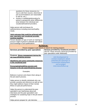| questions for these resources (i.e.<br>how to edit their resume, what kind of<br>job accommodations are reasonable<br>to ask for, etc.)<br>Assists in mediating/advocating for<br>person's perspective when differences<br>arise between the individual and<br>vocational/treatment providers.<br>Helps person with techniques for<br>wellness/stress including exercise/healthy<br>meals. |                                                                                                                                                                                              |
|--------------------------------------------------------------------------------------------------------------------------------------------------------------------------------------------------------------------------------------------------------------------------------------------------------------------------------------------------------------------------------------------|----------------------------------------------------------------------------------------------------------------------------------------------------------------------------------------------|
| Joint outcome that could be achieved with<br>peer specialist and vocational provider<br>working together:<br>Person decides on type of work (or training) to<br>pursue in light of person's interests and values<br>and knowledge of job qualifications                                                                                                                                    |                                                                                                                                                                                              |
|                                                                                                                                                                                                                                                                                                                                                                                            | <u>Achieve:</u>                                                                                                                                                                              |
| Services provided by peer specialists                                                                                                                                                                                                                                                                                                                                                      | Person engages in job search or search for training program<br>Services provided by vocational providers<br>(NOTE! These services cannot be provided by<br>peer specialists under Medicaid!) |
| <b>Purpose: Stress management during the</b><br>job search/training process<br>Identifying and using community resources<br>in the vocational area<br>Encouraging/modeling success and<br>tenacity in the job search/training process                                                                                                                                                      | <b>Job Development to</b><br>contact employers about<br>potential job openings or<br>customized employment<br>and arranges<br>interviews/follow-up                                           |
| Examples:                                                                                                                                                                                                                                                                                                                                                                                  |                                                                                                                                                                                              |
| Believes in person and cheers them along in<br>the job search process.                                                                                                                                                                                                                                                                                                                     |                                                                                                                                                                                              |
| Helps person to identify individuals who can<br>provide a positive job reference as well as how<br>they might address impact of their mental<br>illness on past job performance.                                                                                                                                                                                                           |                                                                                                                                                                                              |
| Helps the person to understand the peer<br>specialist's own fearfulness about job<br>interviews and the peer specialist's own<br>strategies for sustaining hope in the job search<br>process.                                                                                                                                                                                              |                                                                                                                                                                                              |
| Helps person prepare for job interview                                                                                                                                                                                                                                                                                                                                                     |                                                                                                                                                                                              |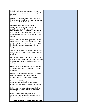including role playing and using wellness strategies to manage stress and anxiety in the process

Provides ideas/assistance in preparing cover letters/resume including how other consumers have dealt with "holes" in their resume

Discusses with person their choice to disclose/not disclose their mental health disability and to ask for reasonable accommodations if needed (flex time, mental health day, etc.) and how other persons with mental health disabilities have handled these issues

Helps person to think through money issues related to the job (lunch, transportation) until and after paycheck is received including ideas for planning ahead, how to stay within a budget, etc

Shares own experiences about managing time to search for a job and follow -up with potential employers

Shares community resources/strategies peer specialist/others have used in preparing for job interview (thrift shop for business attire, job club, etc.)

Helps person cultivate and rely on a network of consumer contacts for sharing job search **struggles** 

Shares with person what they did and did not say on interviews and assists person to prepare their own interview information

Runs a "Job Club" group for individuals looking for work so that individuals can provide support and set an example for one another

Helps person connect with college disability office to get needed supports as a student

Assists person with college application, registration, and scheduling process and how to ask for help/accommodations

**Joint outcome that could be achieved with**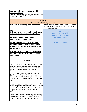| peer specialist and vocational provider<br>working together:<br>Person obtains employment (or is accepted for<br>training program)                                                                                |                                                                                                                               |  |
|-------------------------------------------------------------------------------------------------------------------------------------------------------------------------------------------------------------------|-------------------------------------------------------------------------------------------------------------------------------|--|
| <u>Keep:</u><br>Person is hired and begins working                                                                                                                                                                |                                                                                                                               |  |
| Services provided by peer specialists                                                                                                                                                                             | Services provided by vocational providers<br>(NOTE! These services cannot be provided by<br>peer specialists under Medicaid!) |  |
| <b>Purpose:</b><br>Help person to develop and maintain social<br>skills that promote emplovment viability<br><b>Promote continued engagement in</b><br>treatment and other services                               | <b>Job coaching to teach</b><br>person job skills at the<br>work site and to follow-<br>up with employer                      |  |
| Identify need for changes in symptom<br>management techniques in light of work<br>stressors and assists person to reach out<br>for needed help                                                                    | <b>On-the-Job Training</b>                                                                                                    |  |
| Help person to use wellness strategies to<br>manage issues which may interfere with<br>job functioning                                                                                                            |                                                                                                                               |  |
| Examples:                                                                                                                                                                                                         |                                                                                                                               |  |
| Shares own work routine and helps person to<br>plan work/school routine (getting adequate<br>sleep, setting alarm clock, etc.) to be able to<br>get to work/school on time and rested                             |                                                                                                                               |  |
| Assists person with trial transportation run<br>(getting bus schedule, finding bus stop,<br>clocking the time to and from, etc.) in over to<br>minimize areas of anxiety related to getting to<br>work            |                                                                                                                               |  |
| Assists the person to develop positive social<br>relationships both on and off the job (i.e. points<br>out to person the kind of things that will annoy<br>others, things to do to get along with others,<br>etc) |                                                                                                                               |  |
| Helps person plan for scheduling and keeping<br>treatment and other appointments and using<br>assertive techniques to negotiate needs                                                                             |                                                                                                                               |  |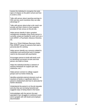Assists the individual to recognize the early signs of relapse on the job/in school and how to avoid a crisis

Talks with person about reporting earnings to SSA and any work incentives they can take advantage of

Talks with person about what a job coach can provide and their choice to have supports provided off site versus on the job site.

Helps person identify if other symptom management strategies (than those person is currently using) are needed for work such as a work WRAP, a Psychiatric Advance Directive, etc.

May run a "Work Wellness Recovery Action Plan (WRAP)" group for persons that need a personal plan for working

Helps person identify any concerns related to medication and work/school and if changes need to be discussed with psychiatrist

Encourages person to build self -worth such as identifying successes at work and how person can build on these

Helps the individual develop a network of working individuals for support (job club, clubhouse, etc.)

Helps person connect to college support groups such as Active minds.org

Identifies potential external stressors such as reactions of family or significant others to person's employment and how to advocate for his/her decisions.

Understands the person's on the job requests and why they are not being honored and suggests ways of being heard in the future

Acknowledges with the person the peer specialist's own struggles to continue to work and to grapple with self -doubt and employer discrimination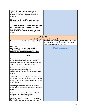| Talks with person about interpersonal<br>situations at work/in school and "personal<br>disclosure" issues with co-workers/other<br>students<br>Discusses "giving back" by volunteering to<br>share their work success story with others.<br>Joint outcome that could be achieved with<br>peer specialist and vocational provider<br>working together:<br>Person starts and maintains employment or<br>training |                                                                                                                               |
|----------------------------------------------------------------------------------------------------------------------------------------------------------------------------------------------------------------------------------------------------------------------------------------------------------------------------------------------------------------------------------------------------------------|-------------------------------------------------------------------------------------------------------------------------------|
|                                                                                                                                                                                                                                                                                                                                                                                                                | <u>Leaving:</u><br>Person decides to leave the job or job ends                                                                |
| Services provided by peer specialists                                                                                                                                                                                                                                                                                                                                                                          | Services provided by vocational providers<br>(NOTE! These services cannot be provided by<br>peer specialists under Medicaid!) |
| <b>Purpose:</b><br>Assists person to maintain health and<br>wellness while person is deciding about<br>future plans for employment/education                                                                                                                                                                                                                                                                   | <b>Often Not Applicable</b>                                                                                                   |
| Examples:                                                                                                                                                                                                                                                                                                                                                                                                      |                                                                                                                               |
| Encourages person not to see job loss as a<br>failure if person is fired, but as a learning<br>experience for next job, and encourages next<br>step if leaving the job on good terms                                                                                                                                                                                                                           |                                                                                                                               |
| Encourages person to give notice and ask<br>employer about possibility of a<br>recommendation in a confidant and assertive<br>fashion                                                                                                                                                                                                                                                                          |                                                                                                                               |
| Talks with person about personal reactions to<br>the experience such as increases in stress or<br>anxiety and how to manage now and in future<br>jobs/training.                                                                                                                                                                                                                                                |                                                                                                                               |
| Encourages person to engage in wellness<br>strategies such as those identified in the work<br>WRAP.                                                                                                                                                                                                                                                                                                            |                                                                                                                               |
| Helps person identify what went right that can<br>be applied to future employment                                                                                                                                                                                                                                                                                                                              |                                                                                                                               |
| Discusses with person what person learned<br>from the job experience/training and person's                                                                                                                                                                                                                                                                                                                     |                                                                                                                               |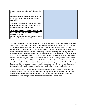| interest in seeking another job/training at this<br>time                                                                                |  |
|-----------------------------------------------------------------------------------------------------------------------------------------|--|
| Discusses positive risk taking and challenges<br>person to consider new work/educational<br>possibilities                               |  |
| Talks with the individual about what the peer<br>specialist's own approach would be to looking<br>for advancement or finding a new job. |  |
| Joint outcome that could be achieved with                                                                                               |  |
| peer specialist and vocational provider                                                                                                 |  |
| working together:                                                                                                                       |  |
| Person ends job/training and decides whether                                                                                            |  |
| to seek another job/training at this time                                                                                               |  |

This chart is intended to provide examples of employment related supports that peer specialists can provide through Medicaid funding to persons who are interested in working. The chart lays out examples for each stage of the employment (or training/education) process using the Boston University approach of "Choose, Get and Keep". The chart includes the following stages of the employment process: Exploring, Choosing, Achieving, Keeping and Leaving and the outlined roles are consistent with the roles of peer specialists as described in OMHSAS bulletin 09-07 on peer support services. The examples are not intended to be all inclusive. The second column of the chart lays out the kind of supports that can be provided by vocational services to which peer specialists can link/refer individuals. Please note that the second column is shaded since these are the kind of services that peer specialists *cannot provide* under Medicaid funding. Each stage of the employment process includes a purpose, examples and potential outcome that could be achieved if the peer specialist and vocational provider are workingtogether.

The above examples in attachment B have been reviewed by the Centers for Medicare and Medicaid Services. It is essential to remember that any service that is provided related to an individual's employment or educational goal MUST be specific to the individual's need for assistance in overcoming functional impairments related to the mental illness.